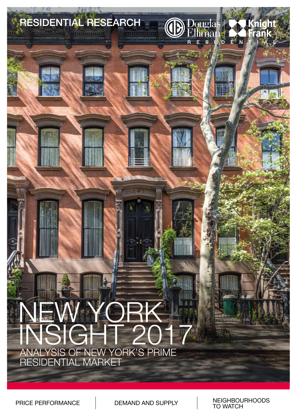

PRICE PERFORMANCE DEMAND AND SUPPLY NEIGHBOURHOODS TO WATCH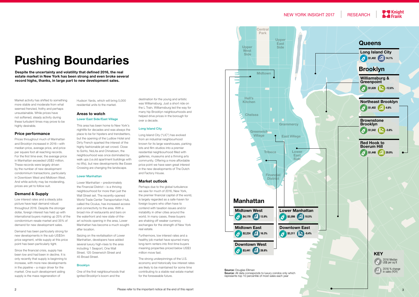Market activity has shifted to something more stable and moderate from what seemed frenzied, frothy and perhaps unsustainable. While prices have not softened, steady activity during these turbulent times may prove to be highly desirable.

#### **Price performance**

Prices throughout much of Manhattan and Brooklyn increased in 2016—with median price, average price, and price per square foot all reaching records. For the first time ever, the average price in Manhattan exceeded US\$2 million. These records were largely driven by the number of new development condominium transactions, particularly in Downtown West and Midtown West. And while activity may be moderating, prices are yet to follow suit.

## **Demand & Supply**

Low interest rates and a steady jobs picture have kept demand robust throughout 2016. Despite the stronger dollar, foreign interest has held up with international buyers making up 25% of the condominium resale market and 35% of demand for new development sales.

Demand has been particularly strong for new developments in the sub-US\$3m price segment, while supply at this price point has been particularly tight.

Since the financial crisis, supply has been low and had been in decline. It is only recently that supply is beginning to increase, with more new developments in the pipeline – a major driver for the market. One such development aiding supply is the mass regeneration of

Hudson Yards, which will bring 5,000 residential units to the market.

# **Areas to watch** Lower East Side/East Village

This area has been home to New York's nightlife for decades and was always the place to be for hipsters and trendsetters, but the opening of the Ludlow Hotel and Dirty French sparked the interest of the highly fashionable jet-set crowd. Close to SoHo, NoLita and Chinatown, the neighbourhood was once dominated by walk ups (i.e.old apartment buildings with no lifts), but new developments like Essex Crossing are changing the landscape.

#### Lower Manhattan

Lower Manhattan – predominately the Financial District – is a thriving neighbourhood for more than just the Wall Street set. The recently-opened World Trade Center Transportation Hub, called the Oculus, has increased access and connectivity to the area. With a broad mix of restaurants and bars on the waterfront and new state-of-theart schools opening in the area, Lower Manhattan has become a much soughtafter location.







Seizing on the revitalisation of Lower Manhattan, developers have added several luxury high-rises to the area including 1 Seaport, One Wall Street, 125 Greenwich Street and 45 Broad Street.

## Brooklyn

One of the first neighbourhoods that ignited Brooklyn's boom and the

**Despite the uncertainty and volatility that defined 2016, the real estate market in New York has been strong and even broke several record highs, thanks, in large part to new development sales.** 

> destination for the young and artistic was Williamsburg. Just a short ride on the L Train, Williamsburg led the way for many hip Brooklyn neighbourhoods and helped drive prices in the borough for over a decade.

#### Long Island City

Long Island City ("LIC") has evolved from an industrial neighbourhood known for its large warehouses, parking lots and film studios into a premier residential neighbourhood filled with galleries, museums and a thriving arts community. Offering a more affordable price point we have seen great interest in the new developments of The Dutch and Factory House.

### **Market outlook**

Perhaps due to the global turbulence we saw for much of 2016, New York, the premier financial capital of the world, is largely regarded as a safe-haven for foreign buyers who often have to contend with taxation issues and/or instability in other cities around the world. In many cases, these buyers are shaking off weaker currency exchanges for the strength of New York real estate.

Furthermore, low interest rates and a healthy job market have spurred many long-term renters into first-time buyers meaning properties priced below US\$3 million move fast.

The strong underpinnings of the U.S. economy and historically low interest rates are likely to be maintained for some time contributing to a stable real estate market for the foreseeable future.

# NEW YORK INSIGHT 2017 | RESEARCH

# **Pushing Boundaries**